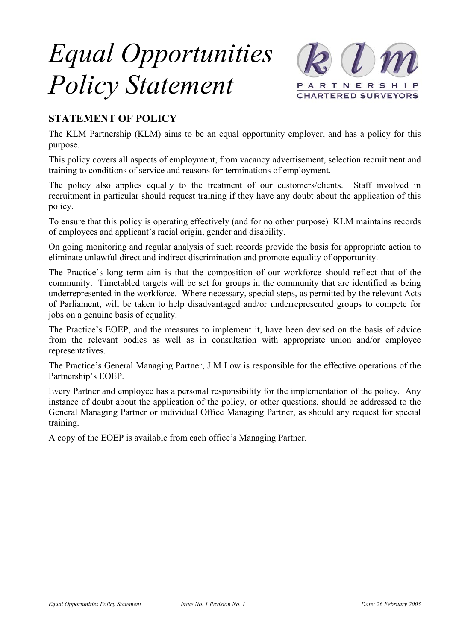# *Equal Opportunities Policy Statement*



## **STATEMENT OF POLICY**

The KLM Partnership (KLM) aims to be an equal opportunity employer, and has a policy for this purpose.

This policy covers all aspects of employment, from vacancy advertisement, selection recruitment and training to conditions of service and reasons for terminations of employment.

The policy also applies equally to the treatment of our customers/clients. Staff involved in recruitment in particular should request training if they have any doubt about the application of this policy.

To ensure that this policy is operating effectively (and for no other purpose) KLM maintains records of employees and applicant's racial origin, gender and disability.

On going monitoring and regular analysis of such records provide the basis for appropriate action to eliminate unlawful direct and indirect discrimination and promote equality of opportunity.

The Practice's long term aim is that the composition of our workforce should reflect that of the community. Timetabled targets will be set for groups in the community that are identified as being underrepresented in the workforce. Where necessary, special steps, as permitted by the relevant Acts of Parliament, will be taken to help disadvantaged and/or underrepresented groups to compete for jobs on a genuine basis of equality.

The Practice's EOEP, and the measures to implement it, have been devised on the basis of advice from the relevant bodies as well as in consultation with appropriate union and/or employee representatives.

The Practice's General Managing Partner, J M Low is responsible for the effective operations of the Partnership's EOEP.

Every Partner and employee has a personal responsibility for the implementation of the policy. Any instance of doubt about the application of the policy, or other questions, should be addressed to the General Managing Partner or individual Office Managing Partner, as should any request for special training.

A copy of the EOEP is available from each office's Managing Partner.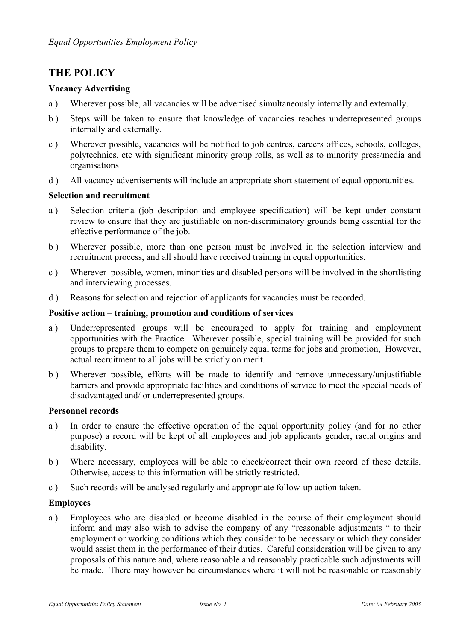### **THE POLICY**

#### **Vacancy Advertising**

- a ) Wherever possible, all vacancies will be advertised simultaneously internally and externally.
- b ) Steps will be taken to ensure that knowledge of vacancies reaches underrepresented groups internally and externally.
- c ) Wherever possible, vacancies will be notified to job centres, careers offices, schools, colleges, polytechnics, etc with significant minority group rolls, as well as to minority press/media and organisations
- d ) All vacancy advertisements will include an appropriate short statement of equal opportunities.

#### **Selection and recruitment**

- a ) Selection criteria (job description and employee specification) will be kept under constant review to ensure that they are justifiable on non-discriminatory grounds being essential for the effective performance of the job.
- b ) Wherever possible, more than one person must be involved in the selection interview and recruitment process, and all should have received training in equal opportunities.
- c ) Wherever possible, women, minorities and disabled persons will be involved in the shortlisting and interviewing processes.
- d ) Reasons for selection and rejection of applicants for vacancies must be recorded.

#### **Positive action – training, promotion and conditions of services**

- a ) Underrepresented groups will be encouraged to apply for training and employment opportunities with the Practice. Wherever possible, special training will be provided for such groups to prepare them to compete on genuinely equal terms for jobs and promotion, However, actual recruitment to all jobs will be strictly on merit.
- b ) Wherever possible, efforts will be made to identify and remove unnecessary/unjustifiable barriers and provide appropriate facilities and conditions of service to meet the special needs of disadvantaged and/ or underrepresented groups.

#### **Personnel records**

- a ) In order to ensure the effective operation of the equal opportunity policy (and for no other purpose) a record will be kept of all employees and job applicants gender, racial origins and disability.
- b ) Where necessary, employees will be able to check/correct their own record of these details. Otherwise, access to this information will be strictly restricted.
- c ) Such records will be analysed regularly and appropriate follow-up action taken.

#### **Employees**

a ) Employees who are disabled or become disabled in the course of their employment should inform and may also wish to advise the company of any "reasonable adjustments " to their employment or working conditions which they consider to be necessary or which they consider would assist them in the performance of their duties. Careful consideration will be given to any proposals of this nature and, where reasonable and reasonably practicable such adjustments will be made. There may however be circumstances where it will not be reasonable or reasonably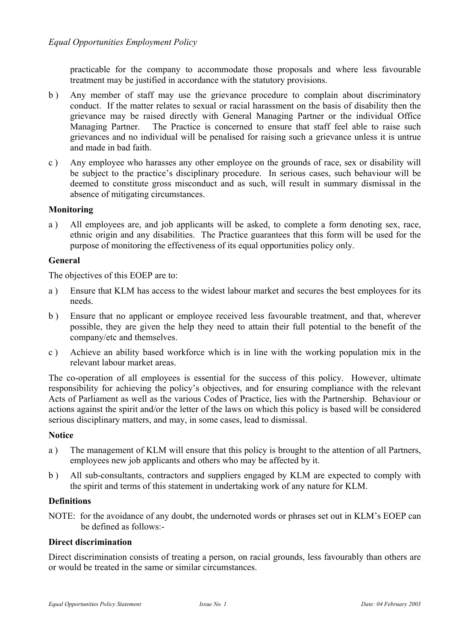practicable for the company to accommodate those proposals and where less favourable treatment may be justified in accordance with the statutory provisions.

- b ) Any member of staff may use the grievance procedure to complain about discriminatory conduct. If the matter relates to sexual or racial harassment on the basis of disability then the grievance may be raised directly with General Managing Partner or the individual Office Managing Partner. The Practice is concerned to ensure that staff feel able to raise such grievances and no individual will be penalised for raising such a grievance unless it is untrue and made in bad faith.
- c ) Any employee who harasses any other employee on the grounds of race, sex or disability will be subject to the practice's disciplinary procedure. In serious cases, such behaviour will be deemed to constitute gross misconduct and as such, will result in summary dismissal in the absence of mitigating circumstances.

#### **Monitoring**

a ) All employees are, and job applicants will be asked, to complete a form denoting sex, race, ethnic origin and any disabilities. The Practice guarantees that this form will be used for the purpose of monitoring the effectiveness of its equal opportunities policy only.

#### **General**

The objectives of this EOEP are to:

- a ) Ensure that KLM has access to the widest labour market and secures the best employees for its needs.
- b ) Ensure that no applicant or employee received less favourable treatment, and that, wherever possible, they are given the help they need to attain their full potential to the benefit of the company/etc and themselves.
- c ) Achieve an ability based workforce which is in line with the working population mix in the relevant labour market areas.

The co-operation of all employees is essential for the success of this policy. However, ultimate responsibility for achieving the policy's objectives, and for ensuring compliance with the relevant Acts of Parliament as well as the various Codes of Practice, lies with the Partnership. Behaviour or actions against the spirit and/or the letter of the laws on which this policy is based will be considered serious disciplinary matters, and may, in some cases, lead to dismissal.

#### **Notice**

- a ) The management of KLM will ensure that this policy is brought to the attention of all Partners, employees new job applicants and others who may be affected by it.
- b ) All sub-consultants, contractors and suppliers engaged by KLM are expected to comply with the spirit and terms of this statement in undertaking work of any nature for KLM.

#### **Definitions**

NOTE: for the avoidance of any doubt, the undernoted words or phrases set out in KLM's EOEP can be defined as follows:-

#### **Direct discrimination**

Direct discrimination consists of treating a person, on racial grounds, less favourably than others are or would be treated in the same or similar circumstances.